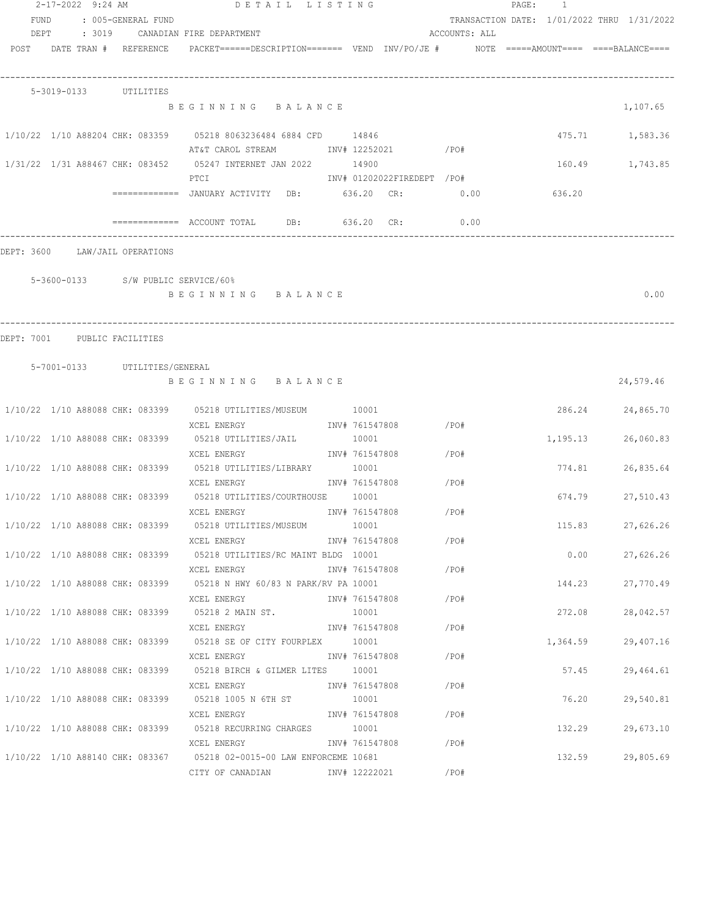|                                | 2-17-2022 9:24 AM |                               | DETAIL LISTING                                                                                                                  |                |                            |               | PAGE: 1 |          |                                            |
|--------------------------------|-------------------|-------------------------------|---------------------------------------------------------------------------------------------------------------------------------|----------------|----------------------------|---------------|---------|----------|--------------------------------------------|
| FUND                           |                   | : 005-GENERAL FUND            |                                                                                                                                 |                |                            |               |         |          | TRANSACTION DATE: 1/01/2022 THRU 1/31/2022 |
|                                |                   |                               | DEPT : 3019 CANADIAN FIRE DEPARTMENT                                                                                            |                |                            | ACCOUNTS: ALL |         |          |                                            |
| POST DATE TRAN # REFERENCE     |                   |                               | PACKET======DESCRIPTION========  VEND  INV/PO/JE #          NOTE  =====AMOUNT====  ====BALANCE====                              |                |                            |               |         |          |                                            |
|                                |                   |                               |                                                                                                                                 |                |                            |               |         |          |                                            |
|                                |                   |                               |                                                                                                                                 |                |                            |               |         |          |                                            |
|                                |                   | 5-3019-0133 UTILITIES         |                                                                                                                                 |                |                            |               |         |          |                                            |
|                                |                   |                               | BEGINNING BALANCE                                                                                                               |                |                            |               |         |          | 1,107.65                                   |
|                                |                   |                               |                                                                                                                                 |                |                            |               |         |          |                                            |
|                                |                   |                               | 1/10/22 1/10 A88204 CHK: 083359 05218 8063236484 6884 CFD 14846<br>AT&T CAROL STREAM             INV# 12252021             /PO# |                |                            |               |         |          | 475.71 1,583.36                            |
|                                |                   |                               | 1/31/22 1/31 A88467 CHK: 083452 05247 INTERNET JAN 2022 14900                                                                   |                |                            |               |         |          |                                            |
|                                |                   |                               | PTCI                                                                                                                            |                | INV# 01202022FIREDEPT /PO# |               |         |          | 160.49 1,743.85                            |
|                                |                   |                               | =============  JANUARY ACTIVITY   DB:            636.20   CR:                                                                   |                |                            | 0.00          |         | 636.20   |                                            |
|                                |                   |                               |                                                                                                                                 |                |                            |               |         |          |                                            |
|                                |                   |                               | ============= ACCOUNT TOTAL DB: 636.20 CR:                                                                                      |                |                            | 0.00          |         |          |                                            |
| DEPT: 3600 LAW/JAIL OPERATIONS |                   |                               |                                                                                                                                 |                |                            |               |         |          |                                            |
|                                |                   |                               |                                                                                                                                 |                |                            |               |         |          |                                            |
|                                |                   |                               | 5-3600-0133 S/W PUBLIC SERVICE/60%                                                                                              |                |                            |               |         |          |                                            |
|                                |                   |                               | BEGINNING BALANCE                                                                                                               |                |                            |               |         |          | 0.00                                       |
|                                |                   |                               |                                                                                                                                 |                |                            |               |         |          |                                            |
|                                |                   |                               |                                                                                                                                 |                |                            |               |         |          |                                            |
| DEPT: 7001                     | PUBLIC FACILITIES |                               |                                                                                                                                 |                |                            |               |         |          |                                            |
|                                |                   |                               |                                                                                                                                 |                |                            |               |         |          |                                            |
|                                |                   | 5-7001-0133 UTILITIES/GENERAL |                                                                                                                                 |                |                            |               |         |          |                                            |
|                                |                   |                               | BEGINNING BALANCE                                                                                                               |                |                            |               |         |          | 24,579.46                                  |
|                                |                   |                               | 1/10/22 1/10 A88088 CHK: 083399 05218 UTILITIES/MUSEUM 10001                                                                    |                |                            |               |         |          |                                            |
|                                |                   |                               | XCEL ENERGY                                                                                                                     |                | INV# 761547808             | /PO#          |         |          | 286.24 24,865.70                           |
|                                |                   |                               | 1/10/22 1/10 A88088 CHK: 083399 05218 UTILITIES/JAIL                                                                            | 10001          |                            |               |         | 1,195.13 | 26,060.83                                  |
|                                |                   |                               | XCEL ENERGY                                                                                                                     |                | INV# 761547808             | /PO#          |         |          |                                            |
|                                |                   |                               | 1/10/22 1/10 A88088 CHK: 083399 05218 UTILITIES/LIBRARY 10001                                                                   |                |                            |               |         | 774.81   | 26,835.64                                  |
|                                |                   |                               | XCEL ENERGY                                                                                                                     | INV# 761547808 |                            | /PO#          |         |          |                                            |
|                                |                   |                               | 1/10/22 1/10 A88088 CHK: 083399 05218 UTILITIES/COURTHOUSE 10001                                                                |                |                            |               |         | 674.79   | 27,510.43                                  |
|                                |                   |                               | XCEL ENERGY                                                                                                                     | INV# 761547808 |                            | /PO#          |         |          |                                            |
|                                |                   |                               | 1/10/22 1/10 A88088 CHK: 083399 05218 UTILITIES/MUSEUM 10001                                                                    |                |                            |               |         | 115.83   | 27,626.26                                  |
|                                |                   |                               | XCEL ENERGY                                                                                                                     |                | INV# 761547808 / PO#       |               |         |          |                                            |
|                                |                   |                               | 1/10/22 1/10 A88088 CHK: 083399 05218 UTILITIES/RC MAINT BLDG 10001                                                             |                |                            |               |         | 0.00     | 27,626.26                                  |
|                                |                   |                               | XCEL ENERGY                                                                                                                     |                | INV# 761547808 / PO#       |               |         |          |                                            |
|                                |                   |                               | 1/10/22 1/10 A88088 CHK: 083399 05218 N HWY 60/83 N PARK/RV PA 10001                                                            |                |                            |               |         | 144.23   | 27,770.49                                  |
|                                |                   |                               | XCEL ENERGY                                                                                                                     | INV# 761547808 |                            | $/$ PO#       |         |          |                                            |
|                                |                   |                               | 1/10/22 1/10 A88088 CHK: 083399 05218 2 MAIN ST.                                                                                | 10001          |                            |               |         | 272.08   | 28,042.57                                  |
|                                |                   |                               | XCEL ENERGY                                                                                                                     | INV# 761547808 |                            | /PO#          |         |          |                                            |
|                                |                   |                               | 1/10/22 1/10 A88088 CHK: 083399 05218 SE OF CITY FOURPLEX 10001                                                                 |                |                            |               |         | 1,364.59 | 29,407.16                                  |
|                                |                   |                               | INV# 761547808<br>XCEL ENERGY                                                                                                   |                |                            | /PO#          |         |          |                                            |
|                                |                   |                               |                                                                                                                                 |                |                            |               |         | 57.45    | 29,464.61                                  |
|                                |                   |                               |                                                                                                                                 |                |                            |               |         | 76.20    | 29,540.81                                  |
|                                |                   |                               | XCEL ENERGY                                                                                                                     |                | INV# 761547808 /PO#        |               |         |          |                                            |
|                                |                   |                               | 1/10/22 1/10 A88088 CHK: 083399 05218 RECURRING CHARGES 10001                                                                   |                |                            |               |         | 132.29   | 29,673.10                                  |
|                                |                   |                               | XCEL ENERGY                                                                                                                     |                | INV# 761547808 / PO#       |               |         |          |                                            |
|                                |                   |                               | 1/10/22 1/10 A88140 CHK: 083367 05218 02-0015-00 LAW ENFORCEME 10681                                                            |                |                            |               |         | 132.59   | 29,805.69                                  |
|                                |                   |                               | CITY OF CANADIAN METALLY 12222021                                                                                               |                |                            | $/$ PO#       |         |          |                                            |
|                                |                   |                               |                                                                                                                                 |                |                            |               |         |          |                                            |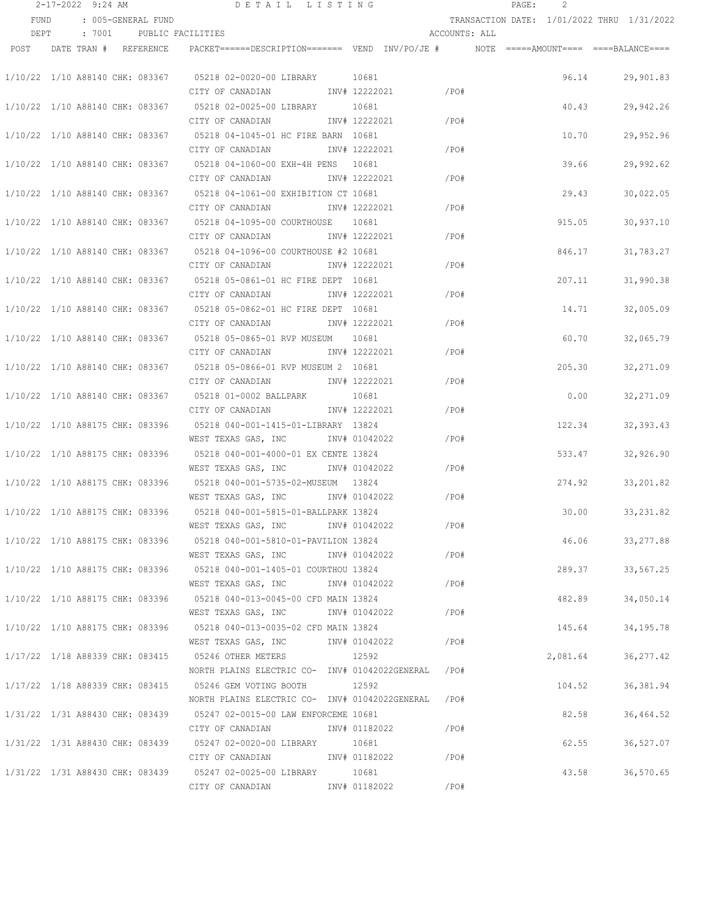|      |                                 |                          | $2-17-2022$ 9:24 AM DETAIL LISTING                                                      |                               |               | PAGE: 2                                    |            |
|------|---------------------------------|--------------------------|-----------------------------------------------------------------------------------------|-------------------------------|---------------|--------------------------------------------|------------|
| FUND |                                 | : 005-GENERAL FUND       |                                                                                         |                               |               | TRANSACTION DATE: 1/01/2022 THRU 1/31/2022 |            |
| DEPT |                                 | : 7001 PUBLIC FACILITIES |                                                                                         |                               | ACCOUNTS: ALL |                                            |            |
|      | POST DATE TRAN # REFERENCE      |                          | PACKET======DESCRIPTION======= VEND INV/PO/JE #    NOTE =====AMOUNT==== ====BALANCE==== |                               |               |                                            |            |
|      |                                 |                          |                                                                                         |                               |               |                                            |            |
|      |                                 |                          | 1/10/22 1/10 A88140 CHK: 083367 05218 02-0020-00 LIBRARY 10681                          |                               |               | 96.14                                      | 29,901.83  |
|      |                                 |                          | CITY OF CANADIAN                                                                        | INV# 12222021 /PO#            |               |                                            |            |
|      |                                 |                          | 1/10/22 1/10 A88140 CHK: 083367 05218 02-0025-00 LIBRARY 10681                          |                               |               | 40.43                                      | 29,942.26  |
|      |                                 |                          | CITY OF CANADIAN                                                                        | INV# 12222021<br>$\angle$ PO# |               |                                            |            |
|      |                                 |                          | 1/10/22 1/10 A88140 CHK: 083367 05218 04-1045-01 HC FIRE BARN 10681                     |                               |               | 10.70                                      | 29,952.96  |
|      |                                 |                          | CITY OF CANADIAN                                                                        | INV# 12222021                 | /PO#          |                                            |            |
|      |                                 |                          | 1/10/22 1/10 A88140 CHK: 083367 05218 04-1060-00 EXH-4H PENS 10681                      |                               |               | 39.66                                      | 29,992.62  |
|      |                                 |                          | CITY OF CANADIAN                                                                        | INV# 12222021                 | /PO#          |                                            |            |
|      |                                 |                          | 1/10/22 1/10 A88140 CHK: 083367 05218 04-1061-00 EXHIBITION CT 10681                    |                               |               | 29.43                                      | 30,022.05  |
|      |                                 |                          | CITY OF CANADIAN INV# 12222021                                                          |                               | /PO#          |                                            |            |
|      |                                 |                          | 1/10/22 1/10 A88140 CHK: 083367 05218 04-1095-00 COURTHOUSE 10681                       |                               |               | 915.05                                     | 30,937.10  |
|      |                                 |                          | CITY OF CANADIAN MOTHOM INV# 12222021                                                   |                               | /PO#          |                                            |            |
|      |                                 |                          | 1/10/22 1/10 A88140 CHK: 083367 05218 04-1096-00 COURTHOUSE #2 10681                    |                               |               | 846.17                                     | 31,783.27  |
|      |                                 |                          | CITY OF CANADIAN              INV# 12222021               /PO#                          |                               |               |                                            |            |
|      |                                 |                          | 1/10/22 1/10 A88140 CHK: 083367 05218 05-0861-01 HC FIRE DEPT 10681                     |                               |               | 207.11                                     | 31,990.38  |
|      |                                 |                          | CITY OF CANADIAN MOTHOM INV# 12222021                                                   | $\angle$ PO#                  |               |                                            |            |
|      |                                 |                          | 1/10/22 1/10 A88140 CHK: 083367 05218 05-0862-01 HC FIRE DEPT 10681                     |                               |               | 14.71                                      |            |
|      |                                 |                          | CITY OF CANADIAN MW# 12222021                                                           |                               | /PO#          |                                            | 32,005.09  |
|      |                                 |                          |                                                                                         |                               |               |                                            |            |
|      |                                 |                          | 1/10/22 1/10 A88140 CHK: 083367 05218 05-0865-01 RVP MUSEUM 10681                       |                               |               | 60.70                                      | 32,065.79  |
|      |                                 |                          | CITY OF CANADIAN                                                                        | INV# 12222021                 | /PO#          |                                            |            |
|      |                                 |                          | 1/10/22 1/10 A88140 CHK: 083367 05218 05-0866-01 RVP MUSEUM 2 10681                     |                               |               | 205.30                                     | 32,271.09  |
|      |                                 |                          | CITY OF CANADIAN                                                                        | INV# 12222021                 | /PO#          |                                            |            |
|      |                                 |                          | 1/10/22 1/10 A88140 CHK: 083367 05218 01-0002 BALLPARK 10681                            |                               |               | 0.00                                       | 32,271.09  |
|      |                                 |                          | CITY OF CANADIAN                                                                        | INV# 12222021                 | /PO#          |                                            |            |
|      |                                 |                          | 1/10/22 1/10 A88175 CHK: 083396 05218 040-001-1415-01-LIBRARY 13824                     |                               |               | 122.34                                     | 32, 393.43 |
|      |                                 |                          | WEST TEXAS GAS, INC                                                                     | $/$ PO#<br>INV# 01042022      |               |                                            |            |
|      |                                 |                          | 1/10/22 1/10 A88175 CHK: 083396 05218 040-001-4000-01 EX CENTE 13824                    |                               |               | 533.47                                     | 32,926.90  |
|      |                                 |                          | WEST TEXAS GAS, INC                                                                     | $/$ PO#<br>INV# 01042022      |               |                                            |            |
|      | 1/10/22 1/10 A88175 CHK: 083396 |                          | 05218  040-001-5735-02-MUSEUM  13824                                                    |                               |               | 274.92                                     | 33,201.82  |
|      |                                 |                          | WEST TEXAS GAS, INC NOT INV# 01042022                                                   | /PO#                          |               |                                            |            |
|      |                                 |                          | 1/10/22 1/10 A88175 CHK: 083396 05218 040-001-5815-01-BALLPARK 13824                    |                               |               | 30.00                                      | 33, 231.82 |
|      |                                 |                          | WEST TEXAS GAS, INC INV# 01042022                                                       |                               | /PO#          |                                            |            |
|      |                                 |                          | 1/10/22 1/10 A88175 CHK: 083396 05218 040-001-5810-01-PAVILION 13824                    |                               |               | 46.06                                      | 33,277.88  |
|      |                                 |                          | WEST TEXAS GAS, INC        INV# 01042022                                                |                               | /PO#          |                                            |            |
|      |                                 |                          | 1/10/22 1/10 A88175 CHK: 083396 05218 040-001-1405-01 COURTHOU 13824                    |                               |               | 289.37                                     | 33,567.25  |
|      |                                 |                          | WEST TEXAS GAS, INC                                                                     | INV# 01042022                 | /PO#          |                                            |            |
|      |                                 |                          | 1/10/22 1/10 A88175 CHK: 083396 05218 040-013-0045-00 CFD MAIN 13824                    |                               |               | 482.89                                     | 34,050.14  |
|      |                                 |                          | WEST TEXAS GAS, INC                                                                     | INV# 01042022                 | /PO#          |                                            |            |
|      |                                 |                          | 1/10/22 1/10 A88175 CHK: 083396 05218 040-013-0035-02 CFD MAIN 13824                    |                               |               | 145.64                                     | 34,195.78  |
|      |                                 |                          | WEST TEXAS GAS, INC                                                                     | INV# 01042022                 | /PO#          |                                            |            |
|      |                                 |                          | 1/17/22 1/18 A88339 CHK: 083415 05246 OTHER METERS                                      | 12592                         |               | 2,081.64                                   | 36, 277.42 |
|      |                                 |                          | NORTH PLAINS ELECTRIC CO- INV# 01042022GENERAL /PO#                                     |                               |               |                                            |            |
|      |                                 |                          | 1/17/22 1/18 A88339 CHK: 083415 05246 GEM VOTING BOOTH                                  | 12592                         |               | 104.52                                     | 36,381.94  |
|      |                                 |                          | NORTH PLAINS ELECTRIC CO- INV# 01042022GENERAL /PO#                                     |                               |               |                                            |            |
|      |                                 |                          | 1/31/22 1/31 A88430 CHK: 083439 05247 02-0015-00 LAW ENFORCEME 10681                    |                               |               | 82.58                                      | 36,464.52  |
|      |                                 |                          | CITY OF CANADIAN             INV# 01182022                                              |                               | /PO#          |                                            |            |
|      |                                 |                          | 1/31/22 1/31 A88430 CHK: 083439 05247 02-0020-00 LIBRARY 10681                          |                               |               | 62.55                                      | 36,527.07  |
|      |                                 |                          | CITY OF CANADIAN 1NV# 01182022 / PO#                                                    |                               |               |                                            |            |
|      |                                 |                          | 1/31/22 1/31 A88430 CHK: 083439 05247 02-0025-00 LIBRARY 10681                          |                               |               | 43.58                                      | 36,570.65  |
|      |                                 |                          | CITY OF CANADIAN MOTHOM INV# 01182022                                                   |                               | /PO#          |                                            |            |
|      |                                 |                          |                                                                                         |                               |               |                                            |            |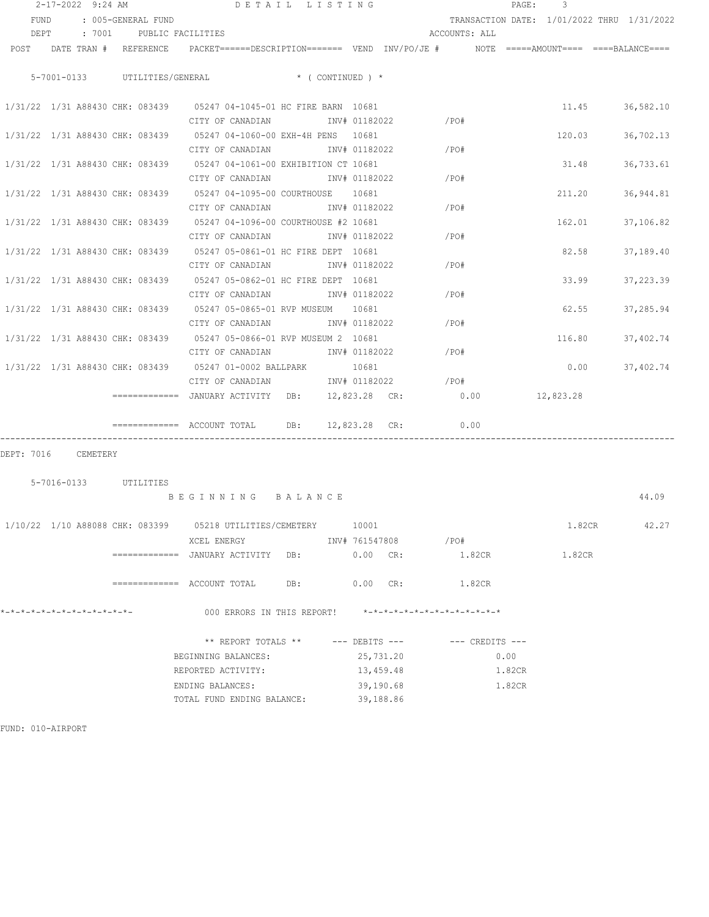|                                 | 2-17-2022 9:24 AM     |                    | DETAIL LISTING                                                                                                                  |               |               |                |                                                         |                     | PAGE:  | 3                                          |                  |
|---------------------------------|-----------------------|--------------------|---------------------------------------------------------------------------------------------------------------------------------|---------------|---------------|----------------|---------------------------------------------------------|---------------------|--------|--------------------------------------------|------------------|
| FUND                            |                       | : 005-GENERAL FUND |                                                                                                                                 |               |               |                |                                                         |                     |        | TRANSACTION DATE: 1/01/2022 THRU 1/31/2022 |                  |
|                                 |                       |                    | DEPT : 7001 PUBLIC FACILITIES                                                                                                   |               |               |                | ACCOUNTS: ALL                                           |                     |        |                                            |                  |
|                                 |                       |                    | POST DATE TRAN # REFERENCE PACKET======DESCRIPTION======= VEND INV/PO/JE # NOTE =====AMOUNT==== ===BALANCE====                  |               |               |                |                                                         |                     |        |                                            |                  |
|                                 |                       |                    |                                                                                                                                 |               |               |                |                                                         |                     |        |                                            |                  |
|                                 |                       |                    | 5-7001-0133 UTILITIES/GENERAL * (CONTINUED) *                                                                                   |               |               |                |                                                         |                     |        |                                            |                  |
|                                 |                       |                    |                                                                                                                                 |               |               |                |                                                         |                     |        |                                            |                  |
|                                 |                       |                    | 1/31/22 1/31 A88430 CHK: 083439 05247 04-1045-01 HC FIRE BARN 10681                                                             |               |               |                |                                                         |                     |        |                                            | 11.45 36,582.10  |
|                                 |                       |                    | CITY OF CANADIAN INV# 01182022                                                                                                  |               |               |                | /PO#                                                    |                     |        |                                            |                  |
|                                 |                       |                    | 1/31/22 1/31 A88430 CHK: 083439 05247 04-1060-00 EXH-4H PENS 10681                                                              |               |               |                |                                                         |                     |        |                                            | 120.03 36,702.13 |
|                                 |                       |                    | CITY OF CANADIAN INV# 01182022                                                                                                  |               |               |                | /PO#                                                    |                     |        |                                            |                  |
|                                 |                       |                    | 1/31/22 1/31 A88430 CHK: 083439 05247 04-1061-00 EXHIBITION CT 10681                                                            |               |               |                |                                                         |                     |        | 31.48                                      | 36,733.61        |
|                                 |                       |                    | CITY OF CANADIAN INV# 01182022                                                                                                  |               |               |                | $\angle$ PO#                                            |                     |        |                                            |                  |
|                                 |                       |                    | 1/31/22 1/31 A88430 CHK: 083439 05247 04-1095-00 COURTHOUSE 10681                                                               |               |               |                |                                                         |                     |        | 211.20                                     | 36,944.81        |
|                                 |                       |                    | CITY OF CANADIAN MW# 01182022                                                                                                   |               |               |                | $/$ PO#                                                 |                     |        |                                            |                  |
|                                 |                       |                    | 1/31/22 1/31 A88430 CHK: 083439 05247 04-1096-00 COURTHOUSE #2 10681                                                            |               |               |                |                                                         |                     |        | 162.01                                     | 37,106.82        |
|                                 |                       |                    | CITY OF CANADIAN METALLY 1182022                                                                                                |               |               |                | /PO#                                                    |                     |        |                                            |                  |
|                                 |                       |                    | 1/31/22 1/31 A88430 CHK: 083439 05247 05-0861-01 HC FIRE DEPT 10681                                                             |               |               |                |                                                         |                     |        | 82.58                                      | 37,189.40        |
|                                 |                       |                    | CITY OF CANADIAN INV# 01182022                                                                                                  |               |               |                | /PO#                                                    |                     |        |                                            |                  |
|                                 |                       |                    | 1/31/22 1/31 A88430 CHK: 083439 05247 05-0862-01 HC FIRE DEPT 10681                                                             |               |               |                |                                                         |                     |        | 33.99                                      | 37,223.39        |
|                                 |                       |                    | CITY OF CANADIAN INV# 01182022                                                                                                  |               |               |                | /PO#                                                    |                     |        |                                            |                  |
|                                 |                       |                    | 1/31/22 1/31 A88430 CHK: 083439 05247 05-0865-01 RVP MUSEUM 10681                                                               |               |               |                |                                                         |                     |        |                                            | 62.55 37,285.94  |
|                                 |                       |                    | CITY OF CANADIAN                                                                                                                | INV# 01182022 |               |                | /PO#                                                    |                     |        |                                            |                  |
|                                 |                       |                    | 1/31/22 1/31 A88430 CHK: 083439 05247 05-0866-01 RVP MUSEUM 2 10681                                                             |               |               |                |                                                         |                     |        | 116.80 37,402.74                           |                  |
|                                 |                       |                    | CITY OF CANADIAN                                                                                                                |               | INV# 01182022 |                | $\angle$ PO#                                            |                     |        |                                            |                  |
|                                 |                       |                    | 1/31/22 1/31 A88430 CHK: 083439 05247 01-0002 BALLPARK 10681<br>CITY OF CANADIAN               INV# 01182022               /PO# |               |               |                |                                                         |                     |        |                                            | $0.00$ 37,402.74 |
|                                 |                       |                    |                                                                                                                                 |               |               |                |                                                         |                     |        |                                            |                  |
|                                 |                       |                    | $=$ $=$ $=$ $=$ $=$ $=$ $=$ $NNUARY$ $ACTIVITY$ DB: $12,823.28$ CR: $0.00$ $12,823.28$                                          |               |               |                |                                                         |                     |        |                                            |                  |
|                                 |                       |                    |                                                                                                                                 |               |               |                |                                                         |                     |        |                                            |                  |
|                                 |                       |                    | $\text{---}\text{---}\text{---}\text{---}$ ACCOUNT TOTAL DB: 12,823.28 CR:                                                      |               |               |                | 0.00                                                    |                     |        |                                            |                  |
| DEPT: 7016 CEMETERY             |                       |                    |                                                                                                                                 |               |               |                |                                                         |                     |        |                                            |                  |
|                                 |                       |                    |                                                                                                                                 |               |               |                |                                                         |                     |        |                                            |                  |
|                                 | 5-7016-0133 UTILITIES |                    |                                                                                                                                 |               |               |                |                                                         |                     |        |                                            |                  |
|                                 |                       |                    | BEGINNING BALANCE                                                                                                               |               |               |                |                                                         |                     |        |                                            | 44.09            |
|                                 |                       |                    |                                                                                                                                 |               |               |                |                                                         |                     |        |                                            |                  |
| 1/10/22 1/10 A88088 CHK: 083399 |                       |                    | 05218 UTILITIES/CEMETERY                                                                                                        |               | 10001         |                |                                                         |                     |        | 1.82CR                                     | 42.27            |
|                                 |                       |                    | XCEL ENERGY                                                                                                                     |               |               | INV# 761547808 | $/$ PO#                                                 |                     |        |                                            |                  |
|                                 |                       |                    | =============  JANUARY ACTIVITY   DB:                                                                                           |               | $0.00$ CR:    |                |                                                         | 1.82CR              |        | 1.82CR                                     |                  |
|                                 |                       |                    |                                                                                                                                 |               |               |                |                                                         |                     |        |                                            |                  |
|                                 |                       |                    |                                                                                                                                 |               | $0.00$ CR:    |                |                                                         | 1.82CR              |        |                                            |                  |
|                                 |                       |                    |                                                                                                                                 |               |               |                |                                                         |                     |        |                                            |                  |
| *-*-*-*-*-*-*-*-*-*-*-*-*-*-    |                       |                    | 000 ERRORS IN THIS REPORT!                                                                                                      |               |               |                | $* - * - * - * - * - * - * - * - * - * - * - * - * - *$ |                     |        |                                            |                  |
|                                 |                       |                    | ** REPORT TOTALS ** --- DEBITS ---                                                                                              |               |               |                |                                                         | $---$ CREDITS $---$ |        |                                            |                  |
|                                 |                       |                    | BEGINNING BALANCES:                                                                                                             |               |               | 25,731.20      |                                                         |                     | 0.00   |                                            |                  |
|                                 |                       |                    | REPORTED ACTIVITY:                                                                                                              |               | 13,459.48     |                |                                                         |                     | 1.82CR |                                            |                  |
|                                 |                       |                    | ENDING BALANCES:                                                                                                                |               | 39,190.68     |                |                                                         |                     | 1.82CR |                                            |                  |
|                                 |                       |                    | TOTAL FUND ENDING BALANCE:                                                                                                      |               |               | 39,188.86      |                                                         |                     |        |                                            |                  |
|                                 |                       |                    |                                                                                                                                 |               |               |                |                                                         |                     |        |                                            |                  |

FUND: 010-AIRPORT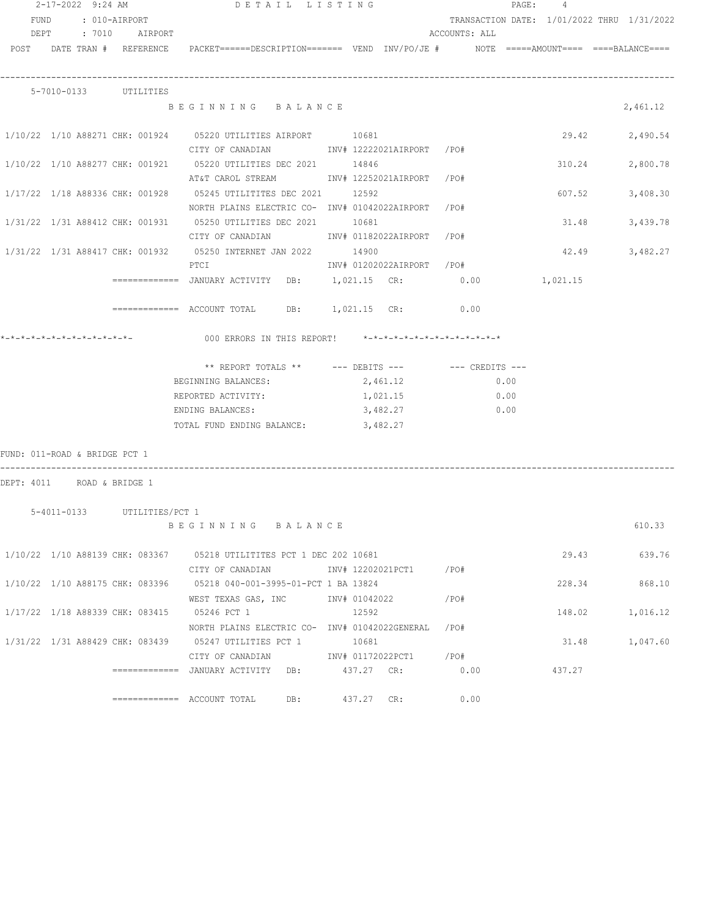| 2-17-2022 9:24 AM             |  |  |                             | DETAIL LISTING                                                                                                                                                                                                                                                                                                                                                             |       |  |                           |      |      | PAGE: 4 |                                            |                |
|-------------------------------|--|--|-----------------------------|----------------------------------------------------------------------------------------------------------------------------------------------------------------------------------------------------------------------------------------------------------------------------------------------------------------------------------------------------------------------------|-------|--|---------------------------|------|------|---------|--------------------------------------------|----------------|
|                               |  |  | FUND : 010-AIRPORT          |                                                                                                                                                                                                                                                                                                                                                                            |       |  |                           |      |      |         | TRANSACTION DATE: 1/01/2022 THRU 1/31/2022 |                |
|                               |  |  | DEPT : 7010 AIRPORT         |                                                                                                                                                                                                                                                                                                                                                                            |       |  | ACCOUNTS: ALL             |      |      |         |                                            |                |
|                               |  |  |                             | POST DATE TRAN # REFERENCE PACKET======DESCRIPTION======= VEND INV/PO/JE # NOTE =====AMOUNT==== ====BALANCE====                                                                                                                                                                                                                                                            |       |  |                           |      |      |         |                                            |                |
|                               |  |  |                             |                                                                                                                                                                                                                                                                                                                                                                            |       |  |                           |      |      |         |                                            |                |
|                               |  |  |                             |                                                                                                                                                                                                                                                                                                                                                                            |       |  |                           |      |      |         |                                            |                |
|                               |  |  | 5-7010-0133 UTILITIES       |                                                                                                                                                                                                                                                                                                                                                                            |       |  |                           |      |      |         |                                            |                |
|                               |  |  |                             | BEGINNING BALANCE                                                                                                                                                                                                                                                                                                                                                          |       |  |                           |      |      |         |                                            | 2,461.12       |
|                               |  |  |                             |                                                                                                                                                                                                                                                                                                                                                                            |       |  |                           |      |      |         |                                            |                |
|                               |  |  |                             | 1/10/22 1/10 A88271 CHK: 001924 05220 UTILITIES AIRPORT 10681                                                                                                                                                                                                                                                                                                              |       |  |                           |      |      |         |                                            | 29.42 2,490.54 |
|                               |  |  |                             | CITY OF CANADIAN MOTHOM INV# 12222021AIRPORT / PO#                                                                                                                                                                                                                                                                                                                         |       |  |                           |      |      |         |                                            |                |
|                               |  |  |                             | 1/10/22 1/10 A88277 CHK: 001921 05220 UTILITIES DEC 2021 14846                                                                                                                                                                                                                                                                                                             |       |  |                           |      |      |         | 310.24                                     | 2,800.78       |
|                               |  |  |                             | AT&T CAROL STREAM            INV# 12252021AIRPORT   /PO#                                                                                                                                                                                                                                                                                                                   |       |  |                           |      |      |         |                                            |                |
|                               |  |  |                             |                                                                                                                                                                                                                                                                                                                                                                            |       |  |                           |      |      |         | 607.52                                     | 3,408.30       |
|                               |  |  |                             | NORTH PLAINS ELECTRIC CO- INV# 01042022AIRPORT /PO#                                                                                                                                                                                                                                                                                                                        |       |  |                           |      |      |         |                                            |                |
|                               |  |  |                             | 1/31/22 1/31 A88412 CHK: 001931 05250 UTILITIES DEC 2021 10681                                                                                                                                                                                                                                                                                                             |       |  |                           |      |      |         | 31.48                                      | 3,439.78       |
|                               |  |  |                             | CITY OF CANADIAN MODEL INV# 01182022AIRPORT / PO#                                                                                                                                                                                                                                                                                                                          |       |  |                           |      |      |         |                                            |                |
|                               |  |  |                             | 1/31/22 1/31 A88417 CHK: 001932 05250 INTERNET JAN 2022 14900                                                                                                                                                                                                                                                                                                              |       |  |                           |      |      |         |                                            | 42.49 3,482.27 |
|                               |  |  |                             | PTCI                                                                                                                                                                                                                                                                                                                                                                       |       |  | INV# 01202022AIRPORT /PO# |      |      |         |                                            |                |
|                               |  |  |                             | ============   JANUARY  ACTIVITY    DB:         1,021.15    CR:                0.00                                                                                                                                                                                                                                                                                        |       |  |                           |      |      |         | 1,021.15                                   |                |
|                               |  |  |                             |                                                                                                                                                                                                                                                                                                                                                                            |       |  |                           |      |      |         |                                            |                |
|                               |  |  |                             | $\text{---}$ $\text{---}$ $\text{---}$ $\text{---}$ $\text{---}$ $\text{---}$ $\text{---}$ $\text{---}$ $\text{---}$ $\text{---}$ $\text{---}$ $\text{---}$ $\text{---}$ $\text{---}$ $\text{---}$ $\text{---}$ $\text{---}$ $\text{---}$ $\text{---}$ $\text{---}$ $\text{---}$ $\text{---}$ $\text{---}$ $\text{---}$ $\text{---}$ $\text{---}$ $\text{---}$ $\text{---$ |       |  |                           |      |      |         |                                            |                |
|                               |  |  |                             |                                                                                                                                                                                                                                                                                                                                                                            |       |  |                           |      |      |         |                                            |                |
|                               |  |  |                             |                                                                                                                                                                                                                                                                                                                                                                            |       |  |                           |      |      |         |                                            |                |
|                               |  |  |                             |                                                                                                                                                                                                                                                                                                                                                                            |       |  |                           |      |      |         |                                            |                |
|                               |  |  |                             | ** REPORT TOTALS ** --- DEBITS --- -- CREDITS ---                                                                                                                                                                                                                                                                                                                          |       |  |                           |      |      |         |                                            |                |
|                               |  |  |                             | BEGINNING BALANCES: 2,461.12                                                                                                                                                                                                                                                                                                                                               |       |  |                           |      | 0.00 |         |                                            |                |
|                               |  |  |                             | REPORTED ACTIVITY:                                                                                                                                                                                                                                                                                                                                                         |       |  | 1,021.15                  |      | 0.00 |         |                                            |                |
|                               |  |  |                             | ENDING BALANCES:                                                                                                                                                                                                                                                                                                                                                           |       |  | 3,482.27                  |      | 0.00 |         |                                            |                |
|                               |  |  |                             | TOTAL FUND ENDING BALANCE:                                                                                                                                                                                                                                                                                                                                                 |       |  | 3,482.27                  |      |      |         |                                            |                |
|                               |  |  |                             |                                                                                                                                                                                                                                                                                                                                                                            |       |  |                           |      |      |         |                                            |                |
| FUND: 011-ROAD & BRIDGE PCT 1 |  |  |                             |                                                                                                                                                                                                                                                                                                                                                                            |       |  |                           |      |      |         |                                            |                |
|                               |  |  |                             |                                                                                                                                                                                                                                                                                                                                                                            |       |  |                           |      |      |         |                                            |                |
|                               |  |  | DEPT: 4011 ROAD & BRIDGE 1  |                                                                                                                                                                                                                                                                                                                                                                            |       |  |                           |      |      |         |                                            |                |
|                               |  |  |                             |                                                                                                                                                                                                                                                                                                                                                                            |       |  |                           |      |      |         |                                            |                |
|                               |  |  | 5-4011-0133 UTILITIES/PCT 1 | BEGINNING BALANCE                                                                                                                                                                                                                                                                                                                                                          |       |  |                           |      |      |         |                                            | 610.33         |
|                               |  |  |                             |                                                                                                                                                                                                                                                                                                                                                                            |       |  |                           |      |      |         |                                            |                |
|                               |  |  |                             | 1/10/22 1/10 A88139 CHK: 083367 05218 UTILITITES PCT 1 DEC 202 10681                                                                                                                                                                                                                                                                                                       |       |  |                           |      |      |         |                                            | 29.43 639.76   |
|                               |  |  |                             | CITY OF CANADIAN               INV# 12202021PCT1        /PO#                                                                                                                                                                                                                                                                                                               |       |  |                           |      |      |         |                                            |                |
|                               |  |  |                             | 1/10/22 1/10 A88175 CHK: 083396 05218 040-001-3995-01-PCT 1 BA 13824                                                                                                                                                                                                                                                                                                       |       |  |                           |      |      |         |                                            | 228.34 868.10  |
|                               |  |  |                             |                                                                                                                                                                                                                                                                                                                                                                            |       |  |                           |      |      |         |                                            |                |
|                               |  |  |                             | WEST TEXAS GAS, INC MET INV# 01042022                                                                                                                                                                                                                                                                                                                                      |       |  |                           | /PO# |      |         | 148.02                                     |                |
|                               |  |  |                             | $1/17/22$ $1/18$ A88339 CHK: 083415 05246 PCT 1                                                                                                                                                                                                                                                                                                                            | 12592 |  |                           |      |      |         |                                            | 1,016.12       |
|                               |  |  |                             | NORTH PLAINS ELECTRIC CO- INV# 01042022GENERAL /PO#                                                                                                                                                                                                                                                                                                                        |       |  |                           |      |      |         |                                            |                |
|                               |  |  |                             | 1/31/22 1/31 A88429 CHK: 083439 05247 UTILITIES PCT 1 10681                                                                                                                                                                                                                                                                                                                |       |  |                           |      |      |         | 31.48                                      | 1,047.60       |
|                               |  |  |                             | CITY OF CANADIAN MOTHOM INV# 01172022PCT1 / PO#                                                                                                                                                                                                                                                                                                                            |       |  |                           |      |      |         |                                            |                |
|                               |  |  |                             | ============   JANUARY  ACTIVITY    DB:             437.27    CR:                  0.00                                                                                                                                                                                                                                                                                    |       |  |                           |      |      |         | 437.27                                     |                |
|                               |  |  |                             | DB:<br>============= ACCOUNT TOTAL                                                                                                                                                                                                                                                                                                                                         |       |  | 437.27 CR:                |      | 0.00 |         |                                            |                |
|                               |  |  |                             |                                                                                                                                                                                                                                                                                                                                                                            |       |  |                           |      |      |         |                                            |                |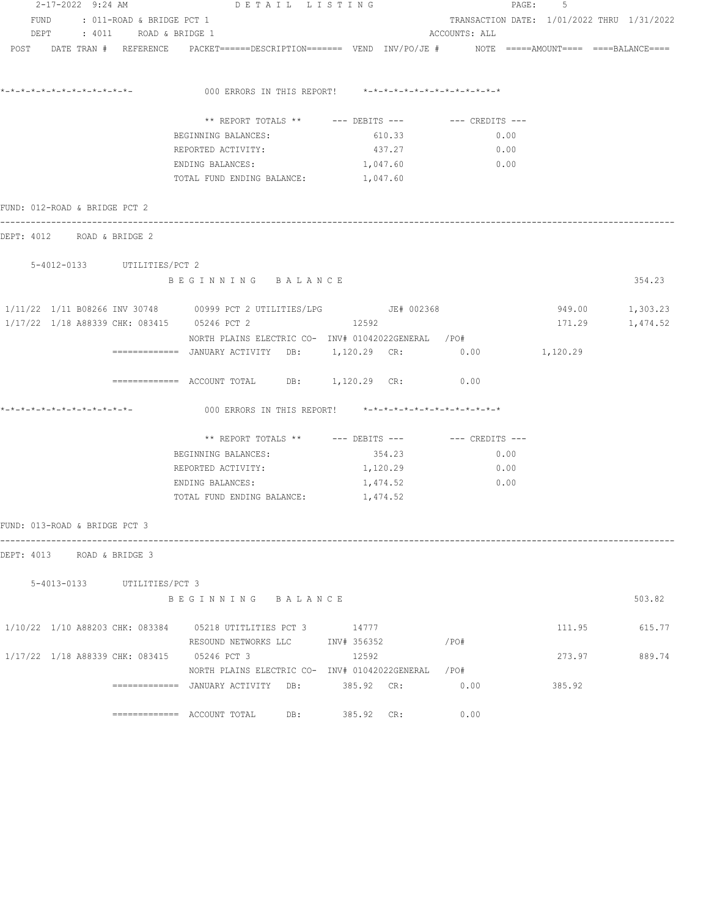|                                             |                           | $2-17-2022$ 9:24 AM DETAIL LISTING                                                                              |                                                      |                                            | PAGE: 5  |                 |
|---------------------------------------------|---------------------------|-----------------------------------------------------------------------------------------------------------------|------------------------------------------------------|--------------------------------------------|----------|-----------------|
| FUND                                        | : 011-ROAD & BRIDGE PCT 1 |                                                                                                                 |                                                      | TRANSACTION DATE: 1/01/2022 THRU 1/31/2022 |          |                 |
| DEPT : 4011 ROAD & BRIDGE 1                 |                           |                                                                                                                 |                                                      | ACCOUNTS: ALL                              |          |                 |
|                                             |                           | POST DATE TRAN # REFERENCE PACKET======DESCRIPTION======= VEND INV/PO/JE # NOTE =====AMOUNT==== ====BALANCE==== |                                                      |                                            |          |                 |
| *_*_*_*_*_*_*_*_*_*_*_*_*_*_*_              |                           | 000 ERRORS IN THIS REPORT! *-*-*-*-*-*-*-*-*-*-*-*-*-*-                                                         |                                                      |                                            |          |                 |
|                                             |                           |                                                                                                                 | ** REPORT TOTALS ** --- DEBITS --- -- -- CREDITS --- |                                            |          |                 |
|                                             |                           | BEGINNING BALANCES:                                                                                             | 610.33                                               | 0.00                                       |          |                 |
|                                             |                           | REPORTED ACTIVITY:                                                                                              | 437.27                                               | 0.00                                       |          |                 |
|                                             |                           | ENDING BALANCES:                                                                                                | 1,047.60                                             | 0.00                                       |          |                 |
|                                             |                           | TOTAL FUND ENDING BALANCE:                                                                                      | 1,047.60                                             |                                            |          |                 |
| FUND: 012-ROAD & BRIDGE PCT 2               |                           |                                                                                                                 |                                                      |                                            |          |                 |
| DEPT: 4012 ROAD & BRIDGE 2                  |                           |                                                                                                                 |                                                      |                                            |          |                 |
| 5-4012-0133 UTILITIES/PCT 2                 |                           |                                                                                                                 |                                                      |                                            |          |                 |
|                                             |                           | BEGINNING BALANCE                                                                                               |                                                      |                                            |          | 354.23          |
|                                             |                           | $1/11/22$ $1/11$ B08266 INV 30748 00999 PCT 2 UTILITIES/LPG $JEF$ 002368                                        |                                                      |                                            |          | 949.00 1,303.23 |
| 1/17/22 1/18 A88339 CHK: 083415 05246 PCT 2 |                           |                                                                                                                 | 12592                                                |                                            | 171.29   | 1,474.52        |
|                                             |                           | NORTH PLAINS ELECTRIC CO- INV# 01042022GENERAL /PO#                                                             |                                                      |                                            |          |                 |
|                                             |                           | ============   JANUARY  ACTIVITY     DB:          1,120.29    CR:                  0.00                         |                                                      |                                            | 1,120.29 |                 |
|                                             |                           | ============ ACCOUNT TOTAL DB: 1,120.29 CR: 0.00                                                                |                                                      |                                            |          |                 |
|                                             |                           | 000 ERRORS IN THIS REPORT! *-*-*-*-*-*-*-*-*-*-*-*-*-*-                                                         |                                                      |                                            |          |                 |
|                                             |                           |                                                                                                                 | ** REPORT TOTALS ** --- DEBITS --- -- -- CREDITS --- |                                            |          |                 |
|                                             |                           | BEGINNING BALANCES:                                                                                             | 354.23                                               | 0.00                                       |          |                 |
|                                             |                           | REPORTED ACTIVITY:                                                                                              | 1,120.29                                             | 0.00                                       |          |                 |
|                                             |                           | ENDING BALANCES:                                                                                                | 1,474.52                                             | 0.00                                       |          |                 |
|                                             |                           | TOTAL FUND ENDING BALANCE:                                                                                      | 1,474.52                                             |                                            |          |                 |
| FUND: 013-ROAD & BRIDGE PCT 3               |                           |                                                                                                                 |                                                      |                                            |          |                 |
| DEPT: 4013 ROAD & BRIDGE 3                  |                           |                                                                                                                 |                                                      |                                            |          |                 |
| 5-4013-0133 UTILITIES/PCT 3                 |                           |                                                                                                                 |                                                      |                                            |          |                 |
|                                             |                           | BEGINNING BALANCE                                                                                               |                                                      |                                            |          | 503.82          |
|                                             |                           | 1/10/22 1/10 A88203 CHK: 083384 05218 UTITLITIES PCT 3 14777                                                    |                                                      |                                            | 111.95   | 615.77          |
|                                             |                           | RESOUND NETWORKS LLC MINV# 356352                                                                               |                                                      | $/$ PO#                                    |          |                 |
| 1/17/22 1/18 A88339 CHK: 083415 05246 PCT 3 |                           |                                                                                                                 | 12592                                                |                                            | 273.97   | 889.74          |
|                                             |                           | NORTH PLAINS ELECTRIC CO- INV# 01042022GENERAL /PO#                                                             |                                                      |                                            |          |                 |
|                                             |                           | ============= JANUARY ACTIVITY DB:                                                                              | 385.92 CR:                                           | 0.00                                       | 385.92   |                 |
|                                             |                           |                                                                                                                 | 385.92 CR:                                           | 0.00                                       |          |                 |